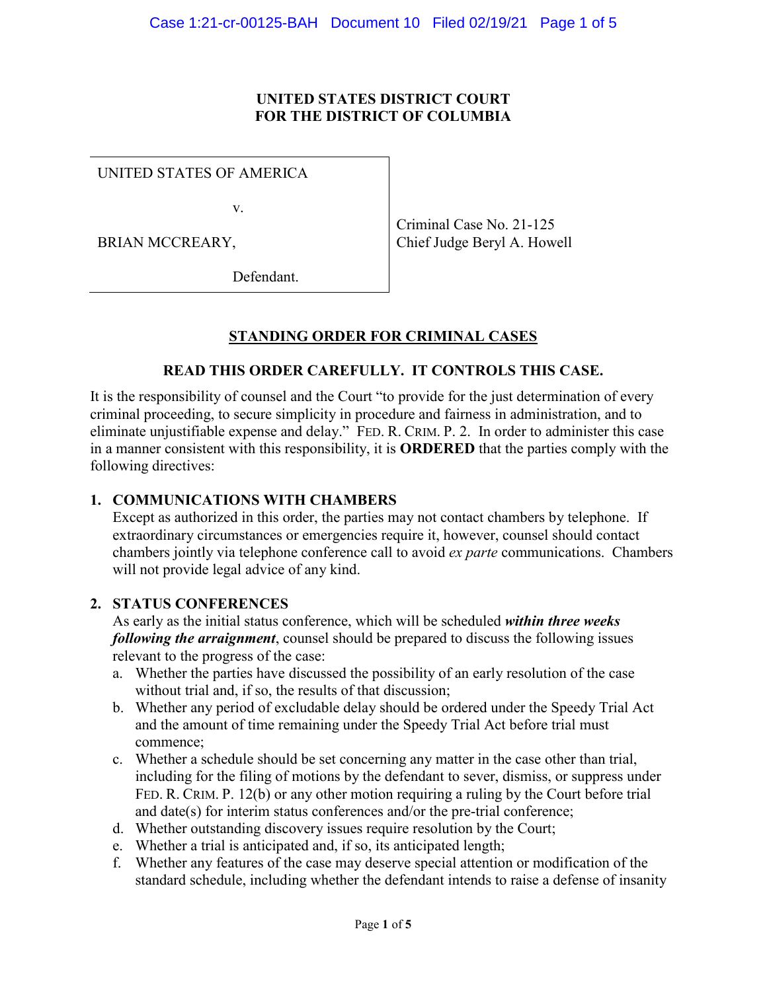### **UNITED STATES DISTRICT COURT FOR THE DISTRICT OF COLUMBIA**

UNITED STATES OF AMERICA

v.

BRIAN MCCREARY,

Criminal Case No. 21-125 Chief Judge Beryl A. Howell

Defendant.

# **STANDING ORDER FOR CRIMINAL CASES**

## **READ THIS ORDER CAREFULLY. IT CONTROLS THIS CASE.**

It is the responsibility of counsel and the Court "to provide for the just determination of every criminal proceeding, to secure simplicity in procedure and fairness in administration, and to eliminate unjustifiable expense and delay." FED. R. CRIM. P. 2. In order to administer this case in a manner consistent with this responsibility, it is **ORDERED** that the parties comply with the following directives:

### **1. COMMUNICATIONS WITH CHAMBERS**

Except as authorized in this order, the parties may not contact chambers by telephone. If extraordinary circumstances or emergencies require it, however, counsel should contact chambers jointly via telephone conference call to avoid *ex parte* communications. Chambers will not provide legal advice of any kind.

### **2. STATUS CONFERENCES**

As early as the initial status conference, which will be scheduled *within three weeks following the arraignment*, counsel should be prepared to discuss the following issues relevant to the progress of the case:

- a. Whether the parties have discussed the possibility of an early resolution of the case without trial and, if so, the results of that discussion;
- b. Whether any period of excludable delay should be ordered under the Speedy Trial Act and the amount of time remaining under the Speedy Trial Act before trial must commence;
- c. Whether a schedule should be set concerning any matter in the case other than trial, including for the filing of motions by the defendant to sever, dismiss, or suppress under FED. R. CRIM. P. 12(b) or any other motion requiring a ruling by the Court before trial and date(s) for interim status conferences and/or the pre-trial conference;
- d. Whether outstanding discovery issues require resolution by the Court;
- e. Whether a trial is anticipated and, if so, its anticipated length;
- f. Whether any features of the case may deserve special attention or modification of the standard schedule, including whether the defendant intends to raise a defense of insanity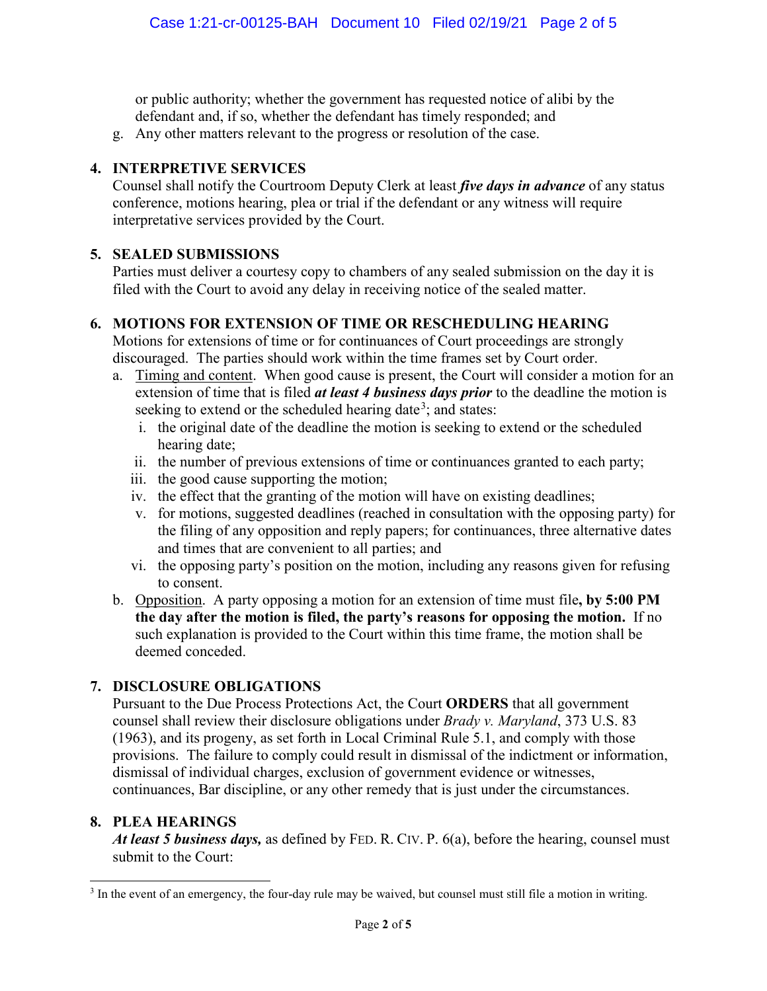or public authority; whether the government has requested notice of alibi by the defendant and, if so, whether the defendant has timely responded; and

g. Any other matters relevant to the progress or resolution of the case.

## **4. INTERPRETIVE SERVICES**

Counsel shall notify the Courtroom Deputy Clerk at least *five days in advance* of any status conference, motions hearing, plea or trial if the defendant or any witness will require interpretative services provided by the Court.

# **5. SEALED SUBMISSIONS**

Parties must deliver a courtesy copy to chambers of any sealed submission on the day it is filed with the Court to avoid any delay in receiving notice of the sealed matter.

# **6. MOTIONS FOR EXTENSION OF TIME OR RESCHEDULING HEARING**

Motions for extensions of time or for continuances of Court proceedings are strongly discouraged. The parties should work within the time frames set by Court order.

- a. Timing and content. When good cause is present, the Court will consider a motion for an extension of time that is filed *at least 4 business days prior* to the deadline the motion is seeking to extend or the scheduled hearing date<sup>3</sup>; and states:
	- i. the original date of the deadline the motion is seeking to extend or the scheduled hearing date;
	- ii. the number of previous extensions of time or continuances granted to each party;
	- iii. the good cause supporting the motion;
	- iv. the effect that the granting of the motion will have on existing deadlines;
	- v. for motions, suggested deadlines (reached in consultation with the opposing party) for the filing of any opposition and reply papers; for continuances, three alternative dates and times that are convenient to all parties; and
	- vi. the opposing party's position on the motion, including any reasons given for refusing to consent.
- b. Opposition. A party opposing a motion for an extension of time must file**, by 5:00 PM the day after the motion is filed, the party's reasons for opposing the motion.** If no such explanation is provided to the Court within this time frame, the motion shall be deemed conceded.

# **7. DISCLOSURE OBLIGATIONS**

Pursuant to the Due Process Protections Act, the Court **ORDERS** that all government counsel shall review their disclosure obligations under *Brady v. Maryland*, 373 U.S. 83 (1963), and its progeny, as set forth in Local Criminal Rule 5.1, and comply with those provisions. The failure to comply could result in dismissal of the indictment or information, dismissal of individual charges, exclusion of government evidence or witnesses, continuances, Bar discipline, or any other remedy that is just under the circumstances.

## **8. PLEA HEARINGS**

*At least 5 business days,* as defined by FED. R. CIV. P. 6(a), before the hearing, counsel must submit to the Court:

<sup>&</sup>lt;sup>3</sup> In the event of an emergency, the four-day rule may be waived, but counsel must still file a motion in writing.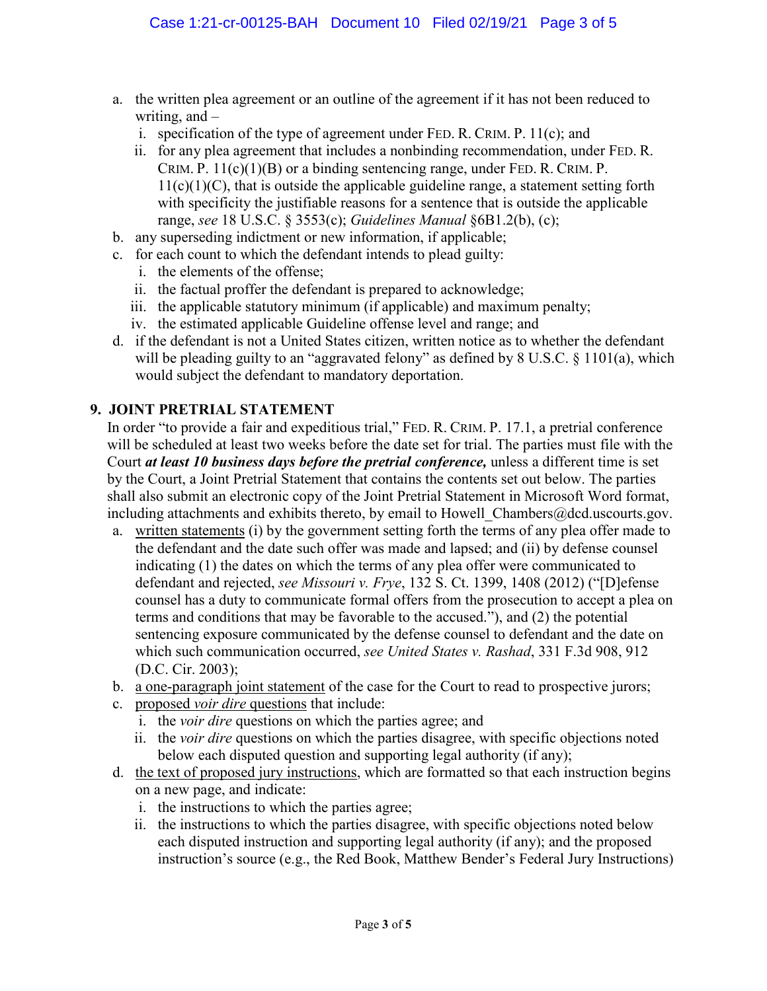- a. the written plea agreement or an outline of the agreement if it has not been reduced to writing, and –
	- i. specification of the type of agreement under FED. R. CRIM. P. 11(c); and
	- ii. for any plea agreement that includes a nonbinding recommendation, under FED. R. CRIM. P.  $11(c)(1)(B)$  or a binding sentencing range, under FED. R. CRIM. P.  $11(c)(1)(C)$ , that is outside the applicable guideline range, a statement setting forth with specificity the justifiable reasons for a sentence that is outside the applicable range, *see* 18 U.S.C. § 3553(c); *Guidelines Manual* §6B1.2(b), (c);
- b. any superseding indictment or new information, if applicable;
- c. for each count to which the defendant intends to plead guilty:
	- i. the elements of the offense;
	- ii. the factual proffer the defendant is prepared to acknowledge;
	- iii. the applicable statutory minimum (if applicable) and maximum penalty;
	- iv. the estimated applicable Guideline offense level and range; and
- d. if the defendant is not a United States citizen, written notice as to whether the defendant will be pleading guilty to an "aggravated felony" as defined by 8 U.S.C. § 1101(a), which would subject the defendant to mandatory deportation.

## **9. JOINT PRETRIAL STATEMENT**

In order "to provide a fair and expeditious trial," FED. R. CRIM. P. 17.1, a pretrial conference will be scheduled at least two weeks before the date set for trial. The parties must file with the Court *at least 10 business days before the pretrial conference,* unless a different time is set by the Court, a Joint Pretrial Statement that contains the contents set out below. The parties shall also submit an electronic copy of the Joint Pretrial Statement in Microsoft Word format, including attachments and exhibits thereto, by email to Howell Chambers@dcd.uscourts.gov.

- a. written statements (i) by the government setting forth the terms of any plea offer made to the defendant and the date such offer was made and lapsed; and (ii) by defense counsel indicating (1) the dates on which the terms of any plea offer were communicated to defendant and rejected, *see Missouri v. Frye*, 132 S. Ct. 1399, 1408 (2012) ("[D]efense counsel has a duty to communicate formal offers from the prosecution to accept a plea on terms and conditions that may be favorable to the accused."), and (2) the potential sentencing exposure communicated by the defense counsel to defendant and the date on which such communication occurred, *see United States v. Rashad*, 331 F.3d 908, 912 (D.C. Cir. 2003);
- b. a one-paragraph joint statement of the case for the Court to read to prospective jurors;
- c. proposed *voir dire* questions that include:
	- i. the *voir dire* questions on which the parties agree; and
	- ii. the *voir dire* questions on which the parties disagree, with specific objections noted below each disputed question and supporting legal authority (if any);
- d. the text of proposed jury instructions, which are formatted so that each instruction begins on a new page, and indicate:
	- i. the instructions to which the parties agree;
	- ii. the instructions to which the parties disagree, with specific objections noted below each disputed instruction and supporting legal authority (if any); and the proposed instruction's source (e.g., the Red Book, Matthew Bender's Federal Jury Instructions)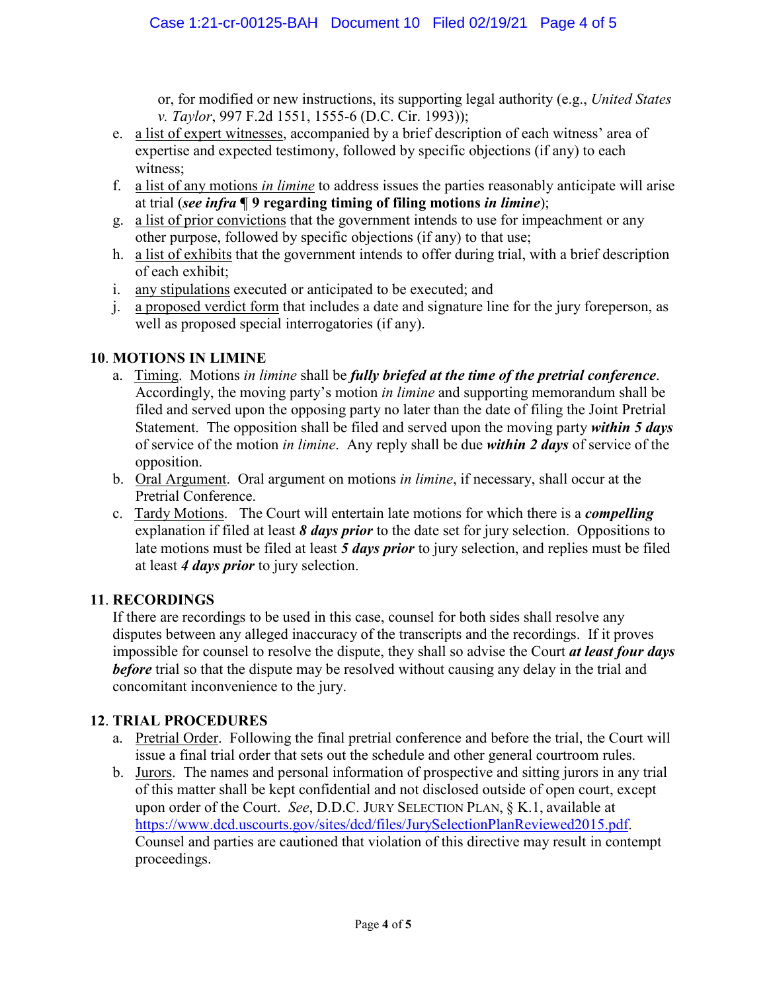or, for modified or new instructions, its supporting legal authority (e.g., *United States v. Taylor*, 997 F.2d 1551, 1555-6 (D.C. Cir. 1993));

- e. a list of expert witnesses, accompanied by a brief description of each witness' area of expertise and expected testimony, followed by specific objections (if any) to each witness;
- f. a list of any motions *in limine* to address issues the parties reasonably anticipate will arise at trial (*see infra* **¶ 9 regarding timing of filing motions** *in limine*);
- g. a list of prior convictions that the government intends to use for impeachment or any other purpose, followed by specific objections (if any) to that use;
- h. a list of exhibits that the government intends to offer during trial, with a brief description of each exhibit;
- i. any stipulations executed or anticipated to be executed; and
- j. a proposed verdict form that includes a date and signature line for the jury foreperson, as well as proposed special interrogatories (if any).

# **10**. **MOTIONS IN LIMINE**

- a. Timing.Motions *in limine* shall be *fully briefed at the time of the pretrial conference*. Accordingly, the moving party's motion *in limine* and supporting memorandum shall be filed and served upon the opposing party no later than the date of filing the Joint Pretrial Statement. The opposition shall be filed and served upon the moving party *within 5 days* of service of the motion *in limine*. Any reply shall be due *within 2 days* of service of the opposition.
- b. Oral Argument. Oral argument on motions *in limine*, if necessary, shall occur at the Pretrial Conference.
- c. Tardy Motions. The Court will entertain late motions for which there is a *compelling* explanation if filed at least *8 days prior* to the date set for jury selection. Oppositions to late motions must be filed at least *5 days prior* to jury selection, and replies must be filed at least *4 days prior* to jury selection.

# **11**. **RECORDINGS**

If there are recordings to be used in this case, counsel for both sides shall resolve any disputes between any alleged inaccuracy of the transcripts and the recordings. If it proves impossible for counsel to resolve the dispute, they shall so advise the Court *at least four days before* trial so that the dispute may be resolved without causing any delay in the trial and concomitant inconvenience to the jury.

## **12**. **TRIAL PROCEDURES**

- a. Pretrial Order. Following the final pretrial conference and before the trial, the Court will issue a final trial order that sets out the schedule and other general courtroom rules.
- b. Jurors. The names and personal information of prospective and sitting jurors in any trial of this matter shall be kept confidential and not disclosed outside of open court, except upon order of the Court. *See*, D.D.C. JURY SELECTION PLAN, § K.1, available at https://www.dcd.uscourts.gov/sites/dcd/files/JurySelectionPlanReviewed2015.pdf. Counsel and parties are cautioned that violation of this directive may result in contempt proceedings.